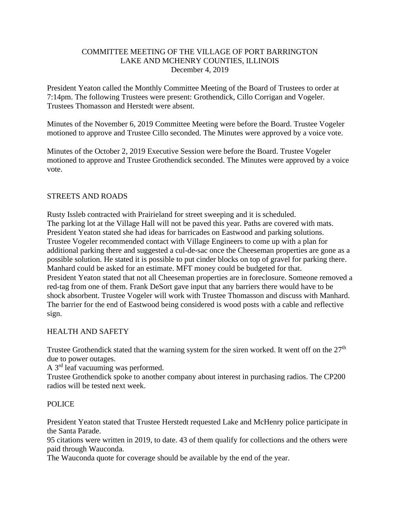# COMMITTEE MEETING OF THE VILLAGE OF PORT BARRINGTON LAKE AND MCHENRY COUNTIES, ILLINOIS December 4, 2019

President Yeaton called the Monthly Committee Meeting of the Board of Trustees to order at 7:14pm. The following Trustees were present: Grothendick, Cillo Corrigan and Vogeler. Trustees Thomasson and Herstedt were absent.

Minutes of the November 6, 2019 Committee Meeting were before the Board. Trustee Vogeler motioned to approve and Trustee Cillo seconded. The Minutes were approved by a voice vote.

Minutes of the October 2, 2019 Executive Session were before the Board. Trustee Vogeler motioned to approve and Trustee Grothendick seconded. The Minutes were approved by a voice vote.

# STREETS AND ROADS

Rusty Issleb contracted with Prairieland for street sweeping and it is scheduled. The parking lot at the Village Hall will not be paved this year. Paths are covered with mats. President Yeaton stated she had ideas for barricades on Eastwood and parking solutions. Trustee Vogeler recommended contact with Village Engineers to come up with a plan for additional parking there and suggested a cul-de-sac once the Cheeseman properties are gone as a possible solution. He stated it is possible to put cinder blocks on top of gravel for parking there. Manhard could be asked for an estimate. MFT money could be budgeted for that. President Yeaton stated that not all Cheeseman properties are in foreclosure. Someone removed a red-tag from one of them. Frank DeSort gave input that any barriers there would have to be shock absorbent. Trustee Vogeler will work with Trustee Thomasson and discuss with Manhard. The barrier for the end of Eastwood being considered is wood posts with a cable and reflective sign.

#### HEALTH AND SAFETY

Trustee Grothendick stated that the warning system for the siren worked. It went off on the  $27<sup>th</sup>$ due to power outages.

A 3rd leaf vacuuming was performed.

Trustee Grothendick spoke to another company about interest in purchasing radios. The CP200 radios will be tested next week.

#### POLICE

President Yeaton stated that Trustee Herstedt requested Lake and McHenry police participate in the Santa Parade.

95 citations were written in 2019, to date. 43 of them qualify for collections and the others were paid through Wauconda.

The Wauconda quote for coverage should be available by the end of the year.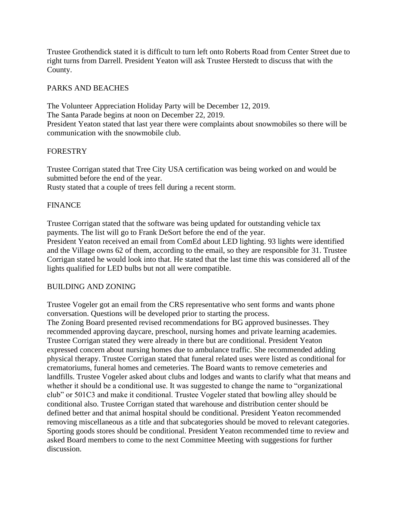Trustee Grothendick stated it is difficult to turn left onto Roberts Road from Center Street due to right turns from Darrell. President Yeaton will ask Trustee Herstedt to discuss that with the County.

# PARKS AND BEACHES

The Volunteer Appreciation Holiday Party will be December 12, 2019. The Santa Parade begins at noon on December 22, 2019. President Yeaton stated that last year there were complaints about snowmobiles so there will be communication with the snowmobile club.

# FORESTRY

Trustee Corrigan stated that Tree City USA certification was being worked on and would be submitted before the end of the year.

Rusty stated that a couple of trees fell during a recent storm.

# FINANCE

Trustee Corrigan stated that the software was being updated for outstanding vehicle tax payments. The list will go to Frank DeSort before the end of the year.

President Yeaton received an email from ComEd about LED lighting. 93 lights were identified and the Village owns 62 of them, according to the email, so they are responsible for 31. Trustee Corrigan stated he would look into that. He stated that the last time this was considered all of the lights qualified for LED bulbs but not all were compatible.

#### BUILDING AND ZONING

Trustee Vogeler got an email from the CRS representative who sent forms and wants phone conversation. Questions will be developed prior to starting the process.

The Zoning Board presented revised recommendations for BG approved businesses. They recommended approving daycare, preschool, nursing homes and private learning academies. Trustee Corrigan stated they were already in there but are conditional. President Yeaton expressed concern about nursing homes due to ambulance traffic. She recommended adding physical therapy. Trustee Corrigan stated that funeral related uses were listed as conditional for crematoriums, funeral homes and cemeteries. The Board wants to remove cemeteries and landfills. Trustee Vogeler asked about clubs and lodges and wants to clarify what that means and whether it should be a conditional use. It was suggested to change the name to "organizational club" or 501C3 and make it conditional. Trustee Vogeler stated that bowling alley should be conditional also. Trustee Corrigan stated that warehouse and distribution center should be defined better and that animal hospital should be conditional. President Yeaton recommended removing miscellaneous as a title and that subcategories should be moved to relevant categories. Sporting goods stores should be conditional. President Yeaton recommended time to review and asked Board members to come to the next Committee Meeting with suggestions for further discussion.